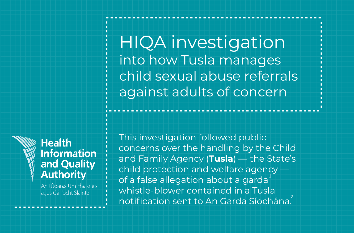HIQA investigation into how Tusla manages child sexual abuse referrals against adults of concern



#### **Health Information** and Quality **Authority**

An tÚdarás Um Fhaisnéis agus Cáilíocht Sláinte

This investigation followed public concerns over the handling by the Child and Family Agency (**Tusla**) — the State's child protection and welfare agency of a false allegation about a garda $^{\rm 1}$ whistle-blower contained in a Tusla notification sent to An Garda Síochána. 2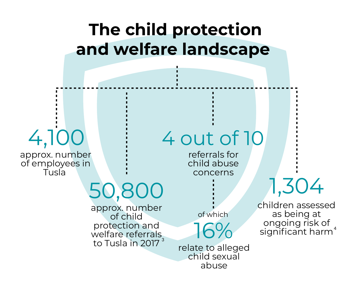### **The child protection and welfare landscape**

# 4,100

approx. number of employees in Tusla

# 50,800

approx. number of child protection and welfare referrals to Tusla in 2017  $^{\rm 3}$ 

16% of which

4 out of 10

referrals for child abuse concerns

relate to alleged child sexual abuse

1,304

children assessed as being at ongoing risk of significant harm 4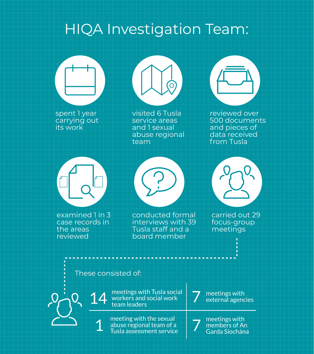### HIQA Investigation Team:

spent 1 year carrying out its work



visited 6 Tusla service areas and 1 sexual abuse regional team



reviewed over 500 documents and pieces of data received from Tusla



examined 1 in 3 case records in

the areas reviewed

board member

conducted formal interviews with 39 Tusla staff and a



carried out 29 focus-group meetings

#### These consisted of:

14 1

meetings with Tusla social workers and social work team leaders

meeting with the sexual abuse regional team of a Tusla assessment service

meetings with external agencies 7

meetings with members of An Garda Síochána 7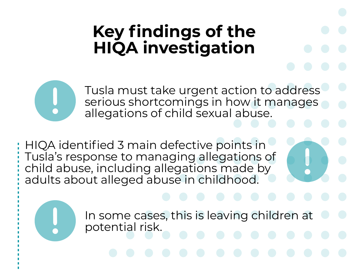## **Key findings of the HIQA investigation**

Tusla must take urgent action to address serious shortcomings in how it manages allegations of child sexual abuse.

HIQA identified 3 main defective points in Tusla's response to managing allegations of child abuse, including allegations made by adults about alleged abuse in childhood.

> In some cases, this is leaving children at potential risk.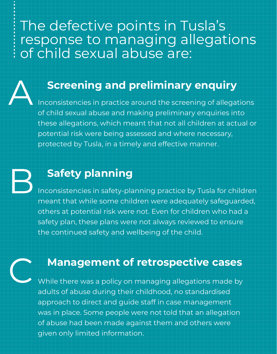The defective points in Tusla's response to managing allegations of child sexual abuse are:

#### **Screening and preliminary enquiry**

A Inconsistencies in practice around the screening of allegations of child sexual abuse and making preliminary enquiries into these allegations, which meant that not all children at actual or potential risk were being assessed and where necessary, protected by Tusla, in a timely and effective manner.

### **Safety planning**

B<sub>r</sub> Inconsistencies in safety-planning practice by Tusla for children meant that while some children were adequately safeguarded, others at potential risk were not. Even for children who had a safety plan, these plans were not always reviewed to ensure the continued safety and wellbeing of the child.

#### **Management of retrospective cases**

C. While there was a policy on managing allegations made by adults of abuse during their childhood, no standardised approach to direct and guide staff in case management was in place. Some people were not told that an allegation of abuse had been made against them and others were given only limited information.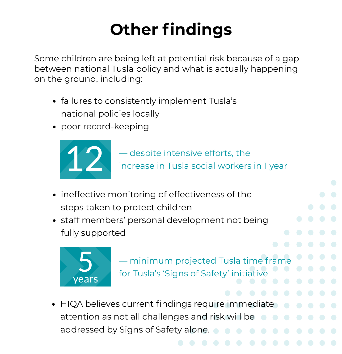# **Other findings**

Some children are being left at potential risk because of a gap between national Tusla policy and what is actually happening on the ground, including:

- failures to consistently implement Tusla's national policies locally
- poor record-keeping



- ineffective monitoring of effectiveness of the steps taken to protect children
- staff members' personal development not being fully supported



— minimum projected Tusla time frame for Tusla's 'Signs of Safety' initiative

HIQA believes current findings require immediate  $\bullet$ attention as not all challenges and risk will be addressed by Signs of Safety alone.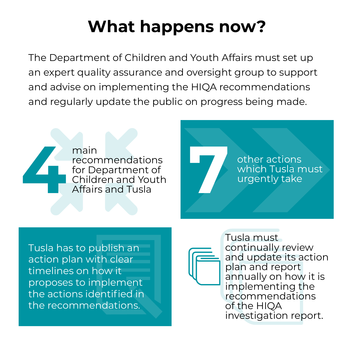## **What happens now?**

The Department of Children and Youth Affairs must set up an expert quality assurance and oversight group to support and advise on implementing the HIQA recommendations and regularly update the public on progress being made.

main recommendations for Department of Children and Youth Affairs and Tusla **4**<br> **4**<br> **4**<br> **4**<br> **4** 

other actions other actions<br>
which Tusla must<br>
urgently take

Tusla has to publish an action plan with clear timelines on how it proposes to implement the actions identified in the recommendations.



Tusla must continually review and update its action plan and report annually on how it is implementing the recommendations of the HIQA investigation report.